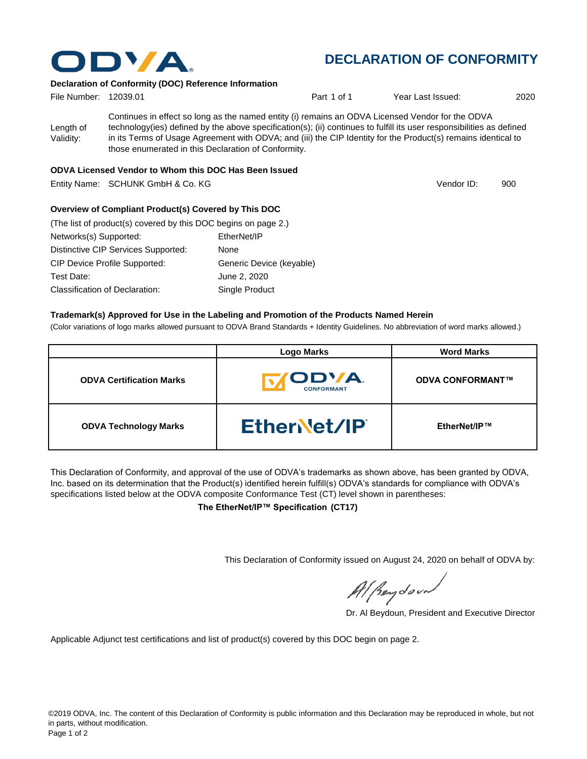

# **DECLARATION OF CONFORMITY**

Vendor ID:

#### **Declaration of Conformity (DOC) Reference Information**

| File Number: 12039.01  |                                                                                                                                                                                                                                                                                                                                                                                                   | Part 1 of 1 | Year Last Issued: | 2020 |
|------------------------|---------------------------------------------------------------------------------------------------------------------------------------------------------------------------------------------------------------------------------------------------------------------------------------------------------------------------------------------------------------------------------------------------|-------------|-------------------|------|
| Length of<br>Validity: | Continues in effect so long as the named entity (i) remains an ODVA Licensed Vendor for the ODVA<br>technology(ies) defined by the above specification(s); (ii) continues to fulfill its user responsibilities as defined<br>in its Terms of Usage Agreement with ODVA; and (iii) the CIP Identity for the Product(s) remains identical to<br>those enumerated in this Declaration of Conformity. |             |                   |      |
|                        |                                                                                                                                                                                                                                                                                                                                                                                                   |             |                   |      |

#### **ODVA Licensed Vendor to Whom this DOC Has Been Issued**

Entity Name: SCHUNK GmbH & Co. KG 900 and the control of the control of the control of the control of the control of the control of the control of the control of the control of the control of the control of the control of

#### **Overview of Compliant Product(s) Covered by This DOC**

| (The list of product(s) covered by this DOC begins on page 2.) |                          |  |  |  |
|----------------------------------------------------------------|--------------------------|--|--|--|
| Networks(s) Supported:                                         | EtherNet/IP              |  |  |  |
| Distinctive CIP Services Supported:                            | None                     |  |  |  |
| <b>CIP Device Profile Supported:</b>                           | Generic Device (keyable) |  |  |  |
| Test Date:                                                     | June 2, 2020             |  |  |  |
| Classification of Declaration:                                 | Single Product           |  |  |  |

#### **Trademark(s) Approved for Use in the Labeling and Promotion of the Products Named Herein**

(Color variations of logo marks allowed pursuant to ODVA Brand Standards + Identity Guidelines. No abbreviation of word marks allowed.)

|                                 | <b>Logo Marks</b>                         | <b>Word Marks</b>       |
|---------------------------------|-------------------------------------------|-------------------------|
| <b>ODVA Certification Marks</b> | <b><i>IODVA.</i></b><br><b>CONFORMANT</b> | <b>ODVA CONFORMANT™</b> |
| <b>ODVA Technology Marks</b>    | EtherNet/IP                               | EtherNet/IP™            |

This Declaration of Conformity, and approval of the use of ODVA's trademarks as shown above, has been granted by ODVA, Inc. based on its determination that the Product(s) identified herein fulfill(s) ODVA's standards for compliance with ODVA's specifications listed below at the ODVA composite Conformance Test (CT) level shown in parentheses:

**The EtherNet/IP™ Specification (CT17)**

This Declaration of Conformity issued on August 24, 2020 on behalf of ODVA by:

Al Beydoor

Dr. Al Beydoun, President and Executive Director

Applicable Adjunct test certifications and list of product(s) covered by this DOC begin on page 2.